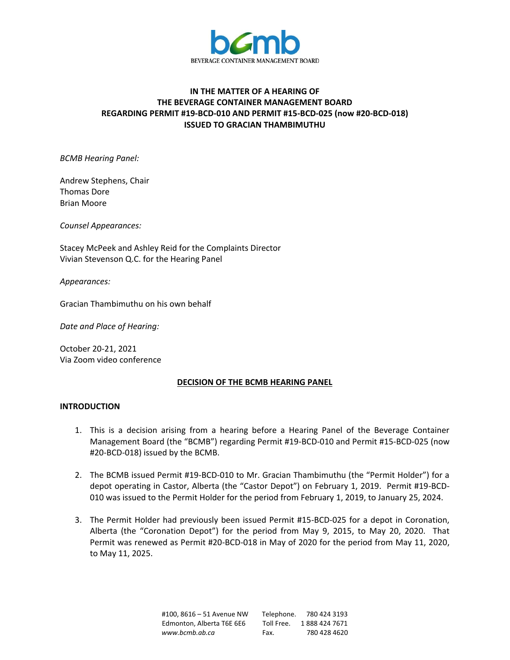

# **IN THE MATTER OF A HEARING OF THE BEVERAGE CONTAINER MANAGEMENT BOARD REGARDING PERMIT #19-BCD-010 AND PERMIT #15-BCD-025 (now #20-BCD-018) ISSUED TO GRACIAN THAMBIMUTHU**

*BCMB Hearing Panel:*

Andrew Stephens, Chair Thomas Dore Brian Moore

*Counsel Appearances:*

Stacey McPeek and Ashley Reid for the Complaints Director Vivian Stevenson Q.C. for the Hearing Panel

*Appearances:*

Gracian Thambimuthu on his own behalf

*Date and Place of Hearing:*

October 20-21, 2021 Via Zoom video conference

### **DECISION OF THE BCMB HEARING PANEL**

### **INTRODUCTION**

- 1. This is a decision arising from a hearing before a Hearing Panel of the Beverage Container Management Board (the "BCMB") regarding Permit #19-BCD-010 and Permit #15-BCD-025 (now #20-BCD-018) issued by the BCMB.
- 2. The BCMB issued Permit #19-BCD-010 to Mr. Gracian Thambimuthu (the "Permit Holder") for a depot operating in Castor, Alberta (the "Castor Depot") on February 1, 2019. Permit #19-BCD-010 was issued to the Permit Holder for the period from February 1, 2019, to January 25, 2024.
- 3. The Permit Holder had previously been issued Permit #15-BCD-025 for a depot in Coronation, Alberta (the "Coronation Depot") for the period from May 9, 2015, to May 20, 2020. That Permit was renewed as Permit #20-BCD-018 in May of 2020 for the period from May 11, 2020, to May 11, 2025.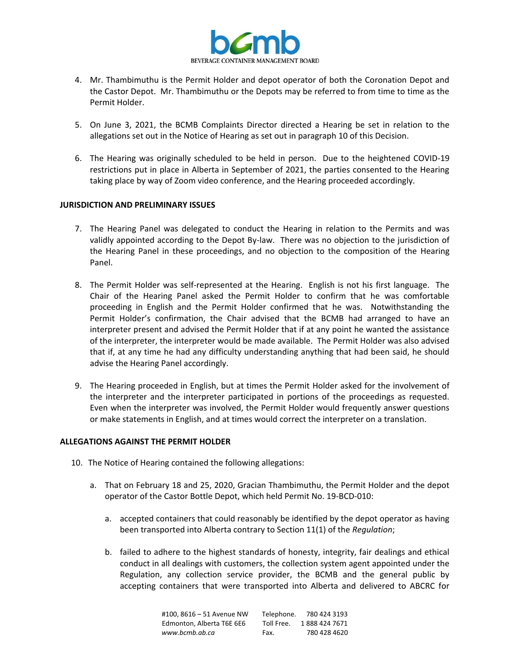

- 4. Mr. Thambimuthu is the Permit Holder and depot operator of both the Coronation Depot and the Castor Depot. Mr. Thambimuthu or the Depots may be referred to from time to time as the Permit Holder.
- 5. On June 3, 2021, the BCMB Complaints Director directed a Hearing be set in relation to the allegations set out in the Notice of Hearing as set out in paragraph 10 of this Decision.
- 6. The Hearing was originally scheduled to be held in person. Due to the heightened COVID-19 restrictions put in place in Alberta in September of 2021, the parties consented to the Hearing taking place by way of Zoom video conference, and the Hearing proceeded accordingly.

## **JURISDICTION AND PRELIMINARY ISSUES**

- 7. The Hearing Panel was delegated to conduct the Hearing in relation to the Permits and was validly appointed according to the Depot By-law. There was no objection to the jurisdiction of the Hearing Panel in these proceedings, and no objection to the composition of the Hearing Panel.
- 8. The Permit Holder was self-represented at the Hearing. English is not his first language. The Chair of the Hearing Panel asked the Permit Holder to confirm that he was comfortable proceeding in English and the Permit Holder confirmed that he was. Notwithstanding the Permit Holder's confirmation, the Chair advised that the BCMB had arranged to have an interpreter present and advised the Permit Holder that if at any point he wanted the assistance of the interpreter, the interpreter would be made available. The Permit Holder was also advised that if, at any time he had any difficulty understanding anything that had been said, he should advise the Hearing Panel accordingly.
- 9. The Hearing proceeded in English, but at times the Permit Holder asked for the involvement of the interpreter and the interpreter participated in portions of the proceedings as requested. Even when the interpreter was involved, the Permit Holder would frequently answer questions or make statements in English, and at times would correct the interpreter on a translation.

### **ALLEGATIONS AGAINST THE PERMIT HOLDER**

- 10. The Notice of Hearing contained the following allegations:
	- a. That on February 18 and 25, 2020, Gracian Thambimuthu, the Permit Holder and the depot operator of the Castor Bottle Depot, which held Permit No. 19-BCD-010:
		- a. accepted containers that could reasonably be identified by the depot operator as having been transported into Alberta contrary to Section 11(1) of the *Regulation*;
		- b. failed to adhere to the highest standards of honesty, integrity, fair dealings and ethical conduct in all dealings with customers, the collection system agent appointed under the Regulation, any collection service provider, the BCMB and the general public by accepting containers that were transported into Alberta and delivered to ABCRC for

| #100, 8616 - 51 Avenue NW | Telephone. | 780 424 3193  |
|---------------------------|------------|---------------|
| Edmonton, Alberta T6E 6E6 | Toll Free. | 1888 424 7671 |
| www.bcmb.ab.ca            | Fax.       | 780 428 4620  |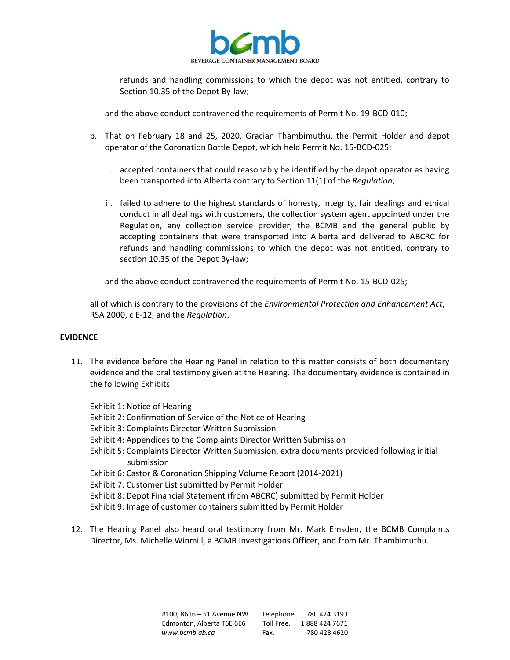

refunds and handling commissions to which the depot was not entitled, contrary to Section 10.35 of the Depot By-law;

and the above conduct contravened the requirements of Permit No. 19-BCD-010;

- b. That on February 18 and 25, 2020, Gracian Thambimuthu, the Permit Holder and depot operator of the Coronation Bottle Depot, which held Permit No. 15-BCD-025:
	- i. accepted containers that could reasonably be identified by the depot operator as having been transported into Alberta contrary to Section 11(1) of the *Regulation*;
	- ii. failed to adhere to the highest standards of honesty, integrity, fair dealings and ethical conduct in all dealings with customers, the collection system agent appointed under the Regulation, any collection service provider, the BCMB and the general public by accepting containers that were transported into Alberta and delivered to ABCRC for refunds and handling commissions to which the depot was not entitled, contrary to section 10.35 of the Depot By-law;

and the above conduct contravened the requirements of Permit No. 15-BCD-025;

all of which is contrary to the provisions of the *Environmental Protection and Enhancement Act*, RSA 2000, c E-12, and the *Regulation*.

### **EVIDENCE**

11. The evidence before the Hearing Panel in relation to this matter consists of both documentary evidence and the oral testimony given at the Hearing. The documentary evidence is contained in the following Exhibits:

Exhibit 1: Notice of Hearing

- Exhibit 2: Confirmation of Service of the Notice of Hearing
- Exhibit 3: Complaints Director Written Submission
- Exhibit 4: Appendices to the Complaints Director Written Submission
- Exhibit 5: Complaints Director Written Submission, extra documents provided following initial submission
- Exhibit 6: Castor & Coronation Shipping Volume Report (2014-2021)
- Exhibit 7: Customer List submitted by Permit Holder
- Exhibit 8: Depot Financial Statement (from ABCRC) submitted by Permit Holder
- Exhibit 9: Image of customer containers submitted by Permit Holder
- 12. The Hearing Panel also heard oral testimony from Mr. Mark Emsden, the BCMB Complaints Director, Ms. Michelle Winmill, a BCMB Investigations Officer, and from Mr. Thambimuthu.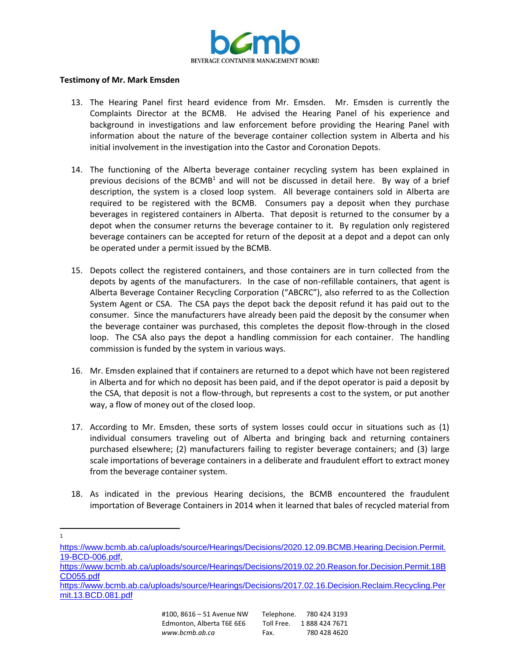

#### **Testimony of Mr. Mark Emsden**

- 13. The Hearing Panel first heard evidence from Mr. Emsden. Mr. Emsden is currently the Complaints Director at the BCMB. He advised the Hearing Panel of his experience and background in investigations and law enforcement before providing the Hearing Panel with information about the nature of the beverage container collection system in Alberta and his initial involvement in the investigation into the Castor and Coronation Depots.
- 14. The functioning of the Alberta beverage container recycling system has been explained in previous decisions of the BCMB<sup>1</sup> and will not be discussed in detail here. By way of a brief description, the system is a closed loop system. All beverage containers sold in Alberta are required to be registered with the BCMB. Consumers pay a deposit when they purchase beverages in registered containers in Alberta. That deposit is returned to the consumer by a depot when the consumer returns the beverage container to it. By regulation only registered beverage containers can be accepted for return of the deposit at a depot and a depot can only be operated under a permit issued by the BCMB.
- 15. Depots collect the registered containers, and those containers are in turn collected from the depots by agents of the manufacturers. In the case of non-refillable containers, that agent is Alberta Beverage Container Recycling Corporation ("ABCRC"), also referred to as the Collection System Agent or CSA. The CSA pays the depot back the deposit refund it has paid out to the consumer. Since the manufacturers have already been paid the deposit by the consumer when the beverage container was purchased, this completes the deposit flow-through in the closed loop. The CSA also pays the depot a handling commission for each container. The handling commission is funded by the system in various ways.
- 16. Mr. Emsden explained that if containers are returned to a depot which have not been registered in Alberta and for which no deposit has been paid, and if the depot operator is paid a deposit by the CSA, that deposit is not a flow-through, but represents a cost to the system, or put another way, a flow of money out of the closed loop.
- 17. According to Mr. Emsden, these sorts of system losses could occur in situations such as (1) individual consumers traveling out of Alberta and bringing back and returning containers purchased elsewhere; (2) manufacturers failing to register beverage containers; and (3) large scale importations of beverage containers in a deliberate and fraudulent effort to extract money from the beverage container system.
- 18. As indicated in the previous Hearing decisions, the BCMB encountered the fraudulent importation of Beverage Containers in 2014 when it learned that bales of recycled material from
- 1

[https://www.bcmb.ab.ca/uploads/source/Hearings/Decisions/2019.02.20.Reason.for.Decision.Permit.18B](https://www.bcmb.ab.ca/uploads/source/Hearings/Decisions/2019.02.20.Reason.for.Decision.Permit.18BCD055.pdf) [CD055.pdf](https://www.bcmb.ab.ca/uploads/source/Hearings/Decisions/2019.02.20.Reason.for.Decision.Permit.18BCD055.pdf)

[https://www.bcmb.ab.ca/uploads/source/Hearings/Decisions/2020.12.09.BCMB.Hearing.Decision.Permit.](https://www.bcmb.ab.ca/uploads/source/Hearings/Decisions/2020.12.09.BCMB.Hearing.Decision.Permit.19-BCD-006.pdf) [19-BCD-006.pdf,](https://www.bcmb.ab.ca/uploads/source/Hearings/Decisions/2020.12.09.BCMB.Hearing.Decision.Permit.19-BCD-006.pdf)

[https://www.bcmb.ab.ca/uploads/source/Hearings/Decisions/2017.02.16.Decision.Reclaim.Recycling.Per](https://www.bcmb.ab.ca/uploads/source/Hearings/Decisions/2017.02.16.Decision.Reclaim.Recycling.Permit.13.BCD.081.pdf) [mit.13.BCD.081.pdf](https://www.bcmb.ab.ca/uploads/source/Hearings/Decisions/2017.02.16.Decision.Reclaim.Recycling.Permit.13.BCD.081.pdf)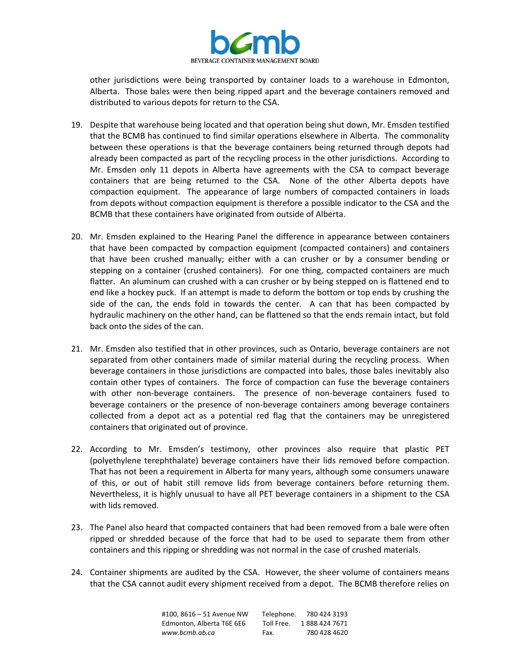

other jurisdictions were being transported by container loads to a warehouse in Edmonton, Alberta. Those bales were then being ripped apart and the beverage containers removed and distributed to various depots for return to the CSA.

- 19. Despite that warehouse being located and that operation being shut down, Mr. Emsden testified that the BCMB has continued to find similar operations elsewhere in Alberta. The commonality between these operations is that the beverage containers being returned through depots had already been compacted as part of the recycling process in the other jurisdictions. According to Mr. Emsden only 11 depots in Alberta have agreements with the CSA to compact beverage containers that are being returned to the CSA. None of the other Alberta depots have compaction equipment. The appearance of large numbers of compacted containers in loads from depots without compaction equipment is therefore a possible indicator to the CSA and the BCMB that these containers have originated from outside of Alberta.
- 20. Mr. Emsden explained to the Hearing Panel the difference in appearance between containers that have been compacted by compaction equipment (compacted containers) and containers that have been crushed manually; either with a can crusher or by a consumer bending or stepping on a container (crushed containers). For one thing, compacted containers are much flatter. An aluminum can crushed with a can crusher or by being stepped on is flattened end to end like a hockey puck. If an attempt is made to deform the bottom or top ends by crushing the side of the can, the ends fold in towards the center. A can that has been compacted by hydraulic machinery on the other hand, can be flattened so that the ends remain intact, but fold back onto the sides of the can.
- 21. Mr. Emsden also testified that in other provinces, such as Ontario, beverage containers are not separated from other containers made of similar material during the recycling process. When beverage containers in those jurisdictions are compacted into bales, those bales inevitably also contain other types of containers. The force of compaction can fuse the beverage containers with other non-beverage containers. The presence of non-beverage containers fused to beverage containers or the presence of non-beverage containers among beverage containers collected from a depot act as a potential red flag that the containers may be unregistered containers that originated out of province.
- 22. According to Mr. Emsden's testimony, other provinces also require that plastic PET (polyethylene terephthalate) beverage containers have their lids removed before compaction. That has not been a requirement in Alberta for many years, although some consumers unaware of this, or out of habit still remove lids from beverage containers before returning them. Nevertheless, it is highly unusual to have all PET beverage containers in a shipment to the CSA with lids removed.
- 23. The Panel also heard that compacted containers that had been removed from a bale were often ripped or shredded because of the force that had to be used to separate them from other containers and this ripping or shredding was not normal in the case of crushed materials.
- 24. Container shipments are audited by the CSA. However, the sheer volume of containers means that the CSA cannot audit every shipment received from a depot. The BCMB therefore relies on

| #100. 8616 – 51 Avenue NW | Telephone. | 780 424 3193  |
|---------------------------|------------|---------------|
| Edmonton, Alberta T6E 6E6 | Toll Free. | 1888 424 7671 |
| www.bcmb.ab.ca            | Fax.       | 780 428 4620  |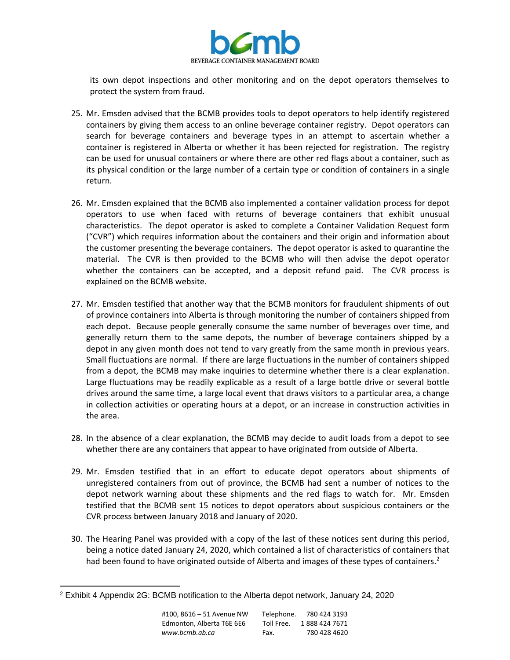

its own depot inspections and other monitoring and on the depot operators themselves to protect the system from fraud.

- 25. Mr. Emsden advised that the BCMB provides tools to depot operators to help identify registered containers by giving them access to an online beverage container registry. Depot operators can search for beverage containers and beverage types in an attempt to ascertain whether a container is registered in Alberta or whether it has been rejected for registration. The registry can be used for unusual containers or where there are other red flags about a container, such as its physical condition or the large number of a certain type or condition of containers in a single return.
- 26. Mr. Emsden explained that the BCMB also implemented a container validation process for depot operators to use when faced with returns of beverage containers that exhibit unusual characteristics. The depot operator is asked to complete a Container Validation Request form ("CVR") which requires information about the containers and their origin and information about the customer presenting the beverage containers. The depot operator is asked to quarantine the material. The CVR is then provided to the BCMB who will then advise the depot operator whether the containers can be accepted, and a deposit refund paid. The CVR process is explained on the BCMB website.
- 27. Mr. Emsden testified that another way that the BCMB monitors for fraudulent shipments of out of province containers into Alberta is through monitoring the number of containers shipped from each depot. Because people generally consume the same number of beverages over time, and generally return them to the same depots, the number of beverage containers shipped by a depot in any given month does not tend to vary greatly from the same month in previous years. Small fluctuations are normal. If there are large fluctuations in the number of containers shipped from a depot, the BCMB may make inquiries to determine whether there is a clear explanation. Large fluctuations may be readily explicable as a result of a large bottle drive or several bottle drives around the same time, a large local event that draws visitors to a particular area, a change in collection activities or operating hours at a depot, or an increase in construction activities in the area.
- 28. In the absence of a clear explanation, the BCMB may decide to audit loads from a depot to see whether there are any containers that appear to have originated from outside of Alberta.
- 29. Mr. Emsden testified that in an effort to educate depot operators about shipments of unregistered containers from out of province, the BCMB had sent a number of notices to the depot network warning about these shipments and the red flags to watch for. Mr. Emsden testified that the BCMB sent 15 notices to depot operators about suspicious containers or the CVR process between January 2018 and January of 2020.
- 30. The Hearing Panel was provided with a copy of the last of these notices sent during this period, being a notice dated January 24, 2020, which contained a list of characteristics of containers that had been found to have originated outside of Alberta and images of these types of containers.<sup>2</sup>

<sup>2</sup> Exhibit 4 Appendix 2G: BCMB notification to the Alberta depot network, January 24, 2020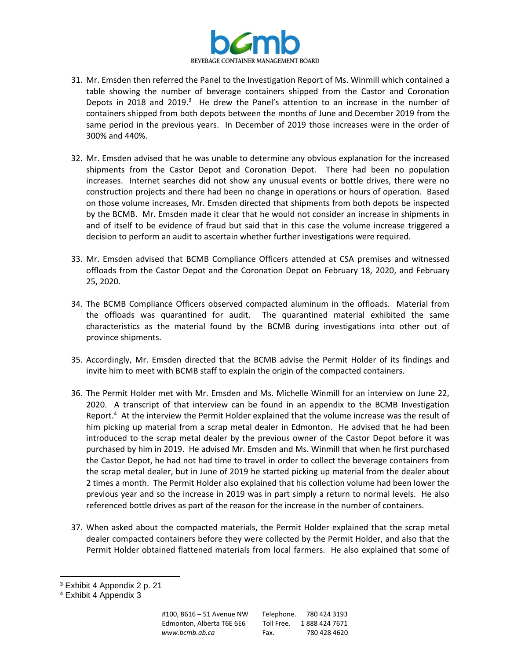

- 31. Mr. Emsden then referred the Panel to the Investigation Report of Ms. Winmill which contained a table showing the number of beverage containers shipped from the Castor and Coronation Depots in 2018 and 2019.<sup>3</sup> He drew the Panel's attention to an increase in the number of containers shipped from both depots between the months of June and December 2019 from the same period in the previous years. In December of 2019 those increases were in the order of 300% and 440%.
- 32. Mr. Emsden advised that he was unable to determine any obvious explanation for the increased shipments from the Castor Depot and Coronation Depot. There had been no population increases. Internet searches did not show any unusual events or bottle drives, there were no construction projects and there had been no change in operations or hours of operation. Based on those volume increases, Mr. Emsden directed that shipments from both depots be inspected by the BCMB. Mr. Emsden made it clear that he would not consider an increase in shipments in and of itself to be evidence of fraud but said that in this case the volume increase triggered a decision to perform an audit to ascertain whether further investigations were required.
- 33. Mr. Emsden advised that BCMB Compliance Officers attended at CSA premises and witnessed offloads from the Castor Depot and the Coronation Depot on February 18, 2020, and February 25, 2020.
- 34. The BCMB Compliance Officers observed compacted aluminum in the offloads. Material from the offloads was quarantined for audit. The quarantined material exhibited the same characteristics as the material found by the BCMB during investigations into other out of province shipments.
- 35. Accordingly, Mr. Emsden directed that the BCMB advise the Permit Holder of its findings and invite him to meet with BCMB staff to explain the origin of the compacted containers.
- 36. The Permit Holder met with Mr. Emsden and Ms. Michelle Winmill for an interview on June 22, 2020. A transcript of that interview can be found in an appendix to the BCMB Investigation Report.<sup>4</sup> At the interview the Permit Holder explained that the volume increase was the result of him picking up material from a scrap metal dealer in Edmonton. He advised that he had been introduced to the scrap metal dealer by the previous owner of the Castor Depot before it was purchased by him in 2019. He advised Mr. Emsden and Ms. Winmill that when he first purchased the Castor Depot, he had not had time to travel in order to collect the beverage containers from the scrap metal dealer, but in June of 2019 he started picking up material from the dealer about 2 times a month. The Permit Holder also explained that his collection volume had been lower the previous year and so the increase in 2019 was in part simply a return to normal levels. He also referenced bottle drives as part of the reason for the increase in the number of containers.
- 37. When asked about the compacted materials, the Permit Holder explained that the scrap metal dealer compacted containers before they were collected by the Permit Holder, and also that the Permit Holder obtained flattened materials from local farmers. He also explained that some of

<sup>3</sup> Exhibit 4 Appendix 2 p. 21

<sup>4</sup> Exhibit 4 Appendix 3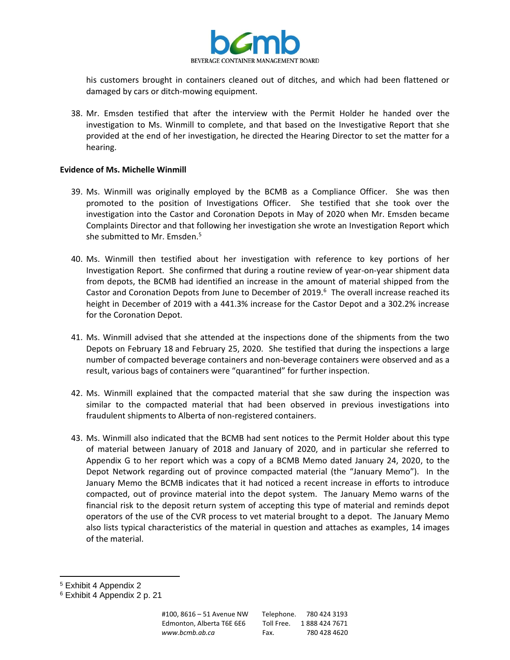

his customers brought in containers cleaned out of ditches, and which had been flattened or damaged by cars or ditch-mowing equipment.

38. Mr. Emsden testified that after the interview with the Permit Holder he handed over the investigation to Ms. Winmill to complete, and that based on the Investigative Report that she provided at the end of her investigation, he directed the Hearing Director to set the matter for a hearing.

### **Evidence of Ms. Michelle Winmill**

- 39. Ms. Winmill was originally employed by the BCMB as a Compliance Officer. She was then promoted to the position of Investigations Officer. She testified that she took over the investigation into the Castor and Coronation Depots in May of 2020 when Mr. Emsden became Complaints Director and that following her investigation she wrote an Investigation Report which she submitted to Mr. Emsden.<sup>5</sup>
- 40. Ms. Winmill then testified about her investigation with reference to key portions of her Investigation Report. She confirmed that during a routine review of year-on-year shipment data from depots, the BCMB had identified an increase in the amount of material shipped from the Castor and Coronation Depots from June to December of 2019. $<sup>6</sup>$  The overall increase reached its</sup> height in December of 2019 with a 441.3% increase for the Castor Depot and a 302.2% increase for the Coronation Depot.
- 41. Ms. Winmill advised that she attended at the inspections done of the shipments from the two Depots on February 18 and February 25, 2020. She testified that during the inspections a large number of compacted beverage containers and non-beverage containers were observed and as a result, various bags of containers were "quarantined" for further inspection.
- 42. Ms. Winmill explained that the compacted material that she saw during the inspection was similar to the compacted material that had been observed in previous investigations into fraudulent shipments to Alberta of non-registered containers.
- 43. Ms. Winmill also indicated that the BCMB had sent notices to the Permit Holder about this type of material between January of 2018 and January of 2020, and in particular she referred to Appendix G to her report which was a copy of a BCMB Memo dated January 24, 2020, to the Depot Network regarding out of province compacted material (the "January Memo"). In the January Memo the BCMB indicates that it had noticed a recent increase in efforts to introduce compacted, out of province material into the depot system. The January Memo warns of the financial risk to the deposit return system of accepting this type of material and reminds depot operators of the use of the CVR process to vet material brought to a depot. The January Memo also lists typical characteristics of the material in question and attaches as examples, 14 images of the material.

<sup>5</sup> Exhibit 4 Appendix 2

<sup>6</sup> Exhibit 4 Appendix 2 p. 21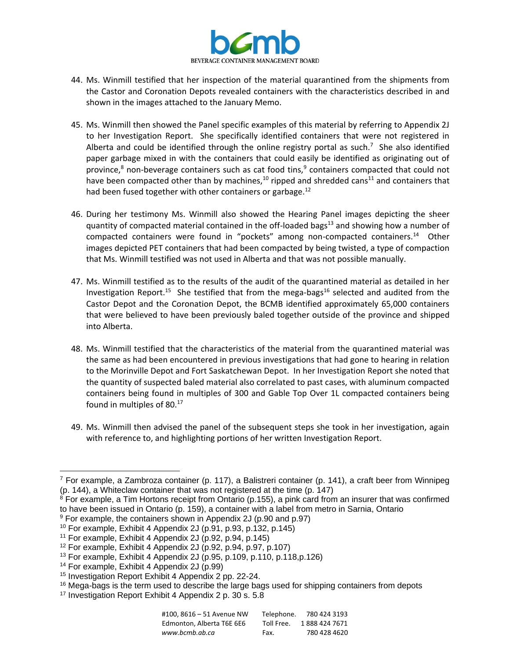

- 44. Ms. Winmill testified that her inspection of the material quarantined from the shipments from the Castor and Coronation Depots revealed containers with the characteristics described in and shown in the images attached to the January Memo.
- 45. Ms. Winmill then showed the Panel specific examples of this material by referring to Appendix 2J to her Investigation Report. She specifically identified containers that were not registered in Alberta and could be identified through the online registry portal as such.<sup>7</sup> She also identified paper garbage mixed in with the containers that could easily be identified as originating out of province,<sup>8</sup> non-beverage containers such as cat food tins,<sup>9</sup> containers compacted that could not have been compacted other than by machines,<sup>10</sup> ripped and shredded cans<sup>11</sup> and containers that had been fused together with other containers or garbage. $^{12}$
- 46. During her testimony Ms. Winmill also showed the Hearing Panel images depicting the sheer quantity of compacted material contained in the off-loaded bags $^{13}$  and showing how a number of compacted containers were found in "pockets" among non-compacted containers.<sup>14</sup> Other images depicted PET containers that had been compacted by being twisted, a type of compaction that Ms. Winmill testified was not used in Alberta and that was not possible manually.
- 47. Ms. Winmill testified as to the results of the audit of the quarantined material as detailed in her Investigation Report.<sup>15</sup> She testified that from the mega-bags<sup>16</sup> selected and audited from the Castor Depot and the Coronation Depot, the BCMB identified approximately 65,000 containers that were believed to have been previously baled together outside of the province and shipped into Alberta.
- 48. Ms. Winmill testified that the characteristics of the material from the quarantined material was the same as had been encountered in previous investigations that had gone to hearing in relation to the Morinville Depot and Fort Saskatchewan Depot. In her Investigation Report she noted that the quantity of suspected baled material also correlated to past cases, with aluminum compacted containers being found in multiples of 300 and Gable Top Over 1L compacted containers being found in multiples of 80.<sup>17</sup>
- 49. Ms. Winmill then advised the panel of the subsequent steps she took in her investigation, again with reference to, and highlighting portions of her written Investigation Report.

<sup>&</sup>lt;sup>17</sup> Investigation Report Exhibit 4 Appendix 2 p. 30 s. 5.8

| #100. 8616 – 51 Avenue NW | Telephone. | 780 424 3193  |
|---------------------------|------------|---------------|
| Edmonton. Alberta T6E 6E6 | Toll Free. | 1888 424 7671 |
| www.bcmb.ab.ca            | Fax.       | 780 428 4620  |

 $^7$  For example, a Zambroza container (p. 117), a Balistreri container (p. 141), a craft beer from Winnipeg (p. 144), a Whiteclaw container that was not registered at the time (p. 147)

 $8$  For example, a Tim Hortons receipt from Ontario (p.155), a pink card from an insurer that was confirmed to have been issued in Ontario (p. 159), a container with a label from metro in Sarnia, Ontario

<sup>9</sup> For example, the containers shown in Appendix 2J (p.90 and p.97)

 $10$  For example, Exhibit 4 Appendix 2J (p.91, p.93, p.132, p.145)

 $11$  For example, Exhibit 4 Appendix 2J (p.92, p.94, p.145)

<sup>12</sup> For example, Exhibit 4 Appendix 2J (p.92, p.94, p.97, p.107)

<sup>&</sup>lt;sup>13</sup> For example, Exhibit 4 Appendix 2J (p.95, p.109, p.110, p.118, p.126)

<sup>&</sup>lt;sup>14</sup> For example, Exhibit 4 Appendix 2J (p.99)

<sup>15</sup> Investigation Report Exhibit 4 Appendix 2 pp. 22-24.

<sup>&</sup>lt;sup>16</sup> Mega-bags is the term used to describe the large bags used for shipping containers from depots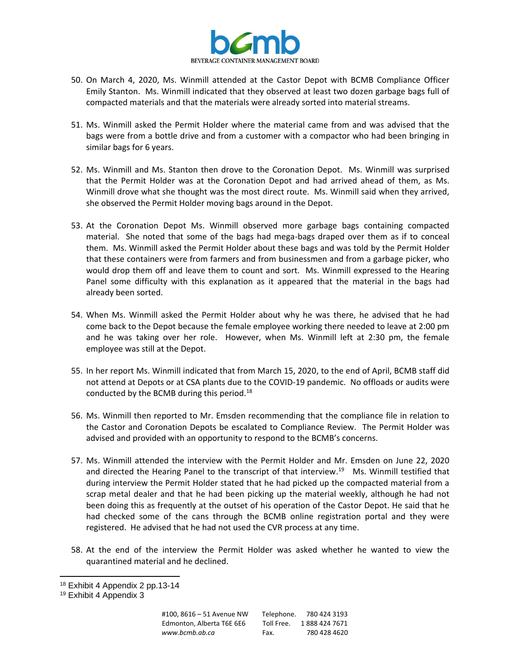

- 50. On March 4, 2020, Ms. Winmill attended at the Castor Depot with BCMB Compliance Officer Emily Stanton. Ms. Winmill indicated that they observed at least two dozen garbage bags full of compacted materials and that the materials were already sorted into material streams.
- 51. Ms. Winmill asked the Permit Holder where the material came from and was advised that the bags were from a bottle drive and from a customer with a compactor who had been bringing in similar bags for 6 years.
- 52. Ms. Winmill and Ms. Stanton then drove to the Coronation Depot. Ms. Winmill was surprised that the Permit Holder was at the Coronation Depot and had arrived ahead of them, as Ms. Winmill drove what she thought was the most direct route. Ms. Winmill said when they arrived, she observed the Permit Holder moving bags around in the Depot.
- 53. At the Coronation Depot Ms. Winmill observed more garbage bags containing compacted material. She noted that some of the bags had mega-bags draped over them as if to conceal them. Ms. Winmill asked the Permit Holder about these bags and was told by the Permit Holder that these containers were from farmers and from businessmen and from a garbage picker, who would drop them off and leave them to count and sort. Ms. Winmill expressed to the Hearing Panel some difficulty with this explanation as it appeared that the material in the bags had already been sorted.
- 54. When Ms. Winmill asked the Permit Holder about why he was there, he advised that he had come back to the Depot because the female employee working there needed to leave at 2:00 pm and he was taking over her role. However, when Ms. Winmill left at 2:30 pm, the female employee was still at the Depot.
- 55. In her report Ms. Winmill indicated that from March 15, 2020, to the end of April, BCMB staff did not attend at Depots or at CSA plants due to the COVID-19 pandemic. No offloads or audits were conducted by the BCMB during this period.<sup>18</sup>
- 56. Ms. Winmill then reported to Mr. Emsden recommending that the compliance file in relation to the Castor and Coronation Depots be escalated to Compliance Review. The Permit Holder was advised and provided with an opportunity to respond to the BCMB's concerns.
- 57. Ms. Winmill attended the interview with the Permit Holder and Mr. Emsden on June 22, 2020 and directed the Hearing Panel to the transcript of that interview.<sup>19</sup> Ms. Winmill testified that during interview the Permit Holder stated that he had picked up the compacted material from a scrap metal dealer and that he had been picking up the material weekly, although he had not been doing this as frequently at the outset of his operation of the Castor Depot. He said that he had checked some of the cans through the BCMB online registration portal and they were registered. He advised that he had not used the CVR process at any time.
- 58. At the end of the interview the Permit Holder was asked whether he wanted to view the quarantined material and he declined.

<sup>18</sup> Exhibit 4 Appendix 2 pp.13-14

<sup>&</sup>lt;sup>19</sup> Exhibit 4 Appendix 3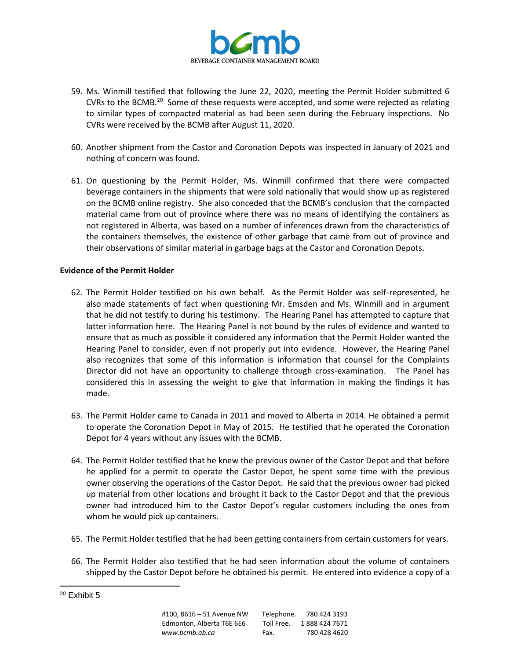

- 59. Ms. Winmill testified that following the June 22, 2020, meeting the Permit Holder submitted 6 CVRs to the BCMB.<sup>20</sup> Some of these requests were accepted, and some were rejected as relating to similar types of compacted material as had been seen during the February inspections. No CVRs were received by the BCMB after August 11, 2020.
- 60. Another shipment from the Castor and Coronation Depots was inspected in January of 2021 and nothing of concern was found.
- 61. On questioning by the Permit Holder, Ms. Winmill confirmed that there were compacted beverage containers in the shipments that were sold nationally that would show up as registered on the BCMB online registry. She also conceded that the BCMB's conclusion that the compacted material came from out of province where there was no means of identifying the containers as not registered in Alberta, was based on a number of inferences drawn from the characteristics of the containers themselves, the existence of other garbage that came from out of province and their observations of similar material in garbage bags at the Castor and Coronation Depots.

## **Evidence of the Permit Holder**

- 62. The Permit Holder testified on his own behalf. As the Permit Holder was self-represented, he also made statements of fact when questioning Mr. Emsden and Ms. Winmill and in argument that he did not testify to during his testimony. The Hearing Panel has attempted to capture that latter information here. The Hearing Panel is not bound by the rules of evidence and wanted to ensure that as much as possible it considered any information that the Permit Holder wanted the Hearing Panel to consider, even if not properly put into evidence. However, the Hearing Panel also recognizes that some of this information is information that counsel for the Complaints Director did not have an opportunity to challenge through cross-examination. The Panel has considered this in assessing the weight to give that information in making the findings it has made.
- 63. The Permit Holder came to Canada in 2011 and moved to Alberta in 2014. He obtained a permit to operate the Coronation Depot in May of 2015. He testified that he operated the Coronation Depot for 4 years without any issues with the BCMB.
- 64. The Permit Holder testified that he knew the previous owner of the Castor Depot and that before he applied for a permit to operate the Castor Depot, he spent some time with the previous owner observing the operations of the Castor Depot. He said that the previous owner had picked up material from other locations and brought it back to the Castor Depot and that the previous owner had introduced him to the Castor Depot's regular customers including the ones from whom he would pick up containers.
- 65. The Permit Holder testified that he had been getting containers from certain customers for years.
- 66. The Permit Holder also testified that he had seen information about the volume of containers shipped by the Castor Depot before he obtained his permit. He entered into evidence a copy of a

<sup>&</sup>lt;sup>20</sup> Exhibit 5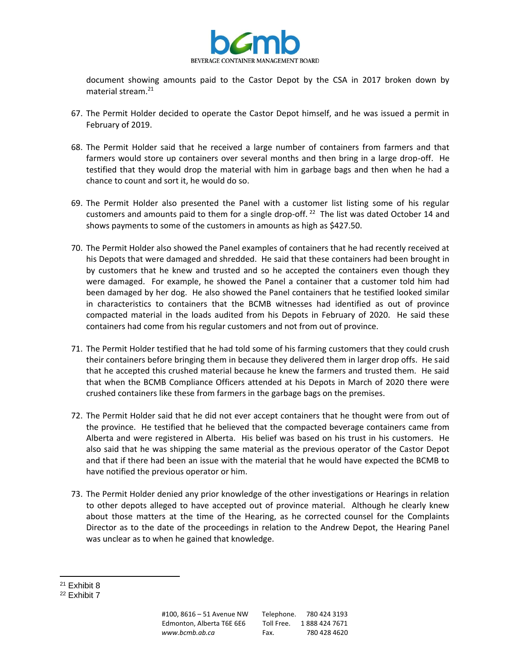

document showing amounts paid to the Castor Depot by the CSA in 2017 broken down by material stream.<sup>21</sup>

- 67. The Permit Holder decided to operate the Castor Depot himself, and he was issued a permit in February of 2019.
- 68. The Permit Holder said that he received a large number of containers from farmers and that farmers would store up containers over several months and then bring in a large drop-off. He testified that they would drop the material with him in garbage bags and then when he had a chance to count and sort it, he would do so.
- 69. The Permit Holder also presented the Panel with a customer list listing some of his regular customers and amounts paid to them for a single drop-off.  $^{22}$  The list was dated October 14 and shows payments to some of the customers in amounts as high as \$427.50.
- 70. The Permit Holder also showed the Panel examples of containers that he had recently received at his Depots that were damaged and shredded. He said that these containers had been brought in by customers that he knew and trusted and so he accepted the containers even though they were damaged. For example, he showed the Panel a container that a customer told him had been damaged by her dog. He also showed the Panel containers that he testified looked similar in characteristics to containers that the BCMB witnesses had identified as out of province compacted material in the loads audited from his Depots in February of 2020. He said these containers had come from his regular customers and not from out of province.
- 71. The Permit Holder testified that he had told some of his farming customers that they could crush their containers before bringing them in because they delivered them in larger drop offs. He said that he accepted this crushed material because he knew the farmers and trusted them. He said that when the BCMB Compliance Officers attended at his Depots in March of 2020 there were crushed containers like these from farmers in the garbage bags on the premises.
- 72. The Permit Holder said that he did not ever accept containers that he thought were from out of the province. He testified that he believed that the compacted beverage containers came from Alberta and were registered in Alberta. His belief was based on his trust in his customers. He also said that he was shipping the same material as the previous operator of the Castor Depot and that if there had been an issue with the material that he would have expected the BCMB to have notified the previous operator or him.
- 73. The Permit Holder denied any prior knowledge of the other investigations or Hearings in relation to other depots alleged to have accepted out of province material. Although he clearly knew about those matters at the time of the Hearing, as he corrected counsel for the Complaints Director as to the date of the proceedings in relation to the Andrew Depot, the Hearing Panel was unclear as to when he gained that knowledge.

<sup>21</sup> Exhibit 8

<sup>&</sup>lt;sup>22</sup> Exhibit 7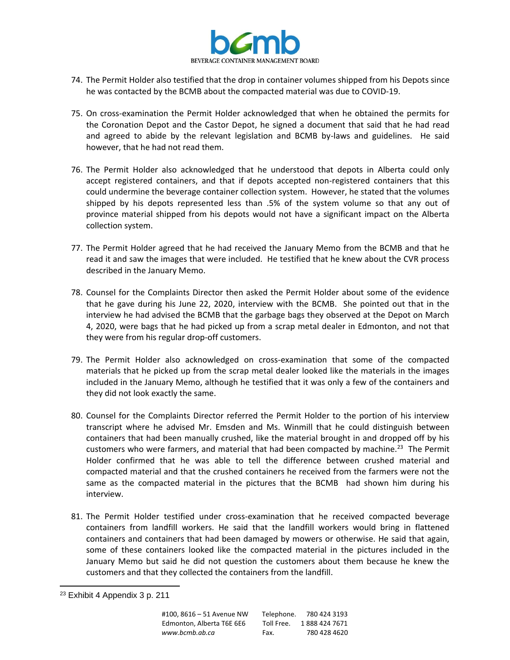

- 74. The Permit Holder also testified that the drop in container volumes shipped from his Depots since he was contacted by the BCMB about the compacted material was due to COVID-19.
- 75. On cross-examination the Permit Holder acknowledged that when he obtained the permits for the Coronation Depot and the Castor Depot, he signed a document that said that he had read and agreed to abide by the relevant legislation and BCMB by-laws and guidelines. He said however, that he had not read them.
- 76. The Permit Holder also acknowledged that he understood that depots in Alberta could only accept registered containers, and that if depots accepted non-registered containers that this could undermine the beverage container collection system. However, he stated that the volumes shipped by his depots represented less than .5% of the system volume so that any out of province material shipped from his depots would not have a significant impact on the Alberta collection system.
- 77. The Permit Holder agreed that he had received the January Memo from the BCMB and that he read it and saw the images that were included. He testified that he knew about the CVR process described in the January Memo.
- 78. Counsel for the Complaints Director then asked the Permit Holder about some of the evidence that he gave during his June 22, 2020, interview with the BCMB. She pointed out that in the interview he had advised the BCMB that the garbage bags they observed at the Depot on March 4, 2020, were bags that he had picked up from a scrap metal dealer in Edmonton, and not that they were from his regular drop-off customers.
- 79. The Permit Holder also acknowledged on cross-examination that some of the compacted materials that he picked up from the scrap metal dealer looked like the materials in the images included in the January Memo, although he testified that it was only a few of the containers and they did not look exactly the same.
- 80. Counsel for the Complaints Director referred the Permit Holder to the portion of his interview transcript where he advised Mr. Emsden and Ms. Winmill that he could distinguish between containers that had been manually crushed, like the material brought in and dropped off by his customers who were farmers, and material that had been compacted by machine.<sup>23</sup> The Permit Holder confirmed that he was able to tell the difference between crushed material and compacted material and that the crushed containers he received from the farmers were not the same as the compacted material in the pictures that the BCMB had shown him during his interview.
- 81. The Permit Holder testified under cross-examination that he received compacted beverage containers from landfill workers. He said that the landfill workers would bring in flattened containers and containers that had been damaged by mowers or otherwise. He said that again, some of these containers looked like the compacted material in the pictures included in the January Memo but said he did not question the customers about them because he knew the customers and that they collected the containers from the landfill.

<sup>&</sup>lt;sup>23</sup> Exhibit 4 Appendix 3 p. 211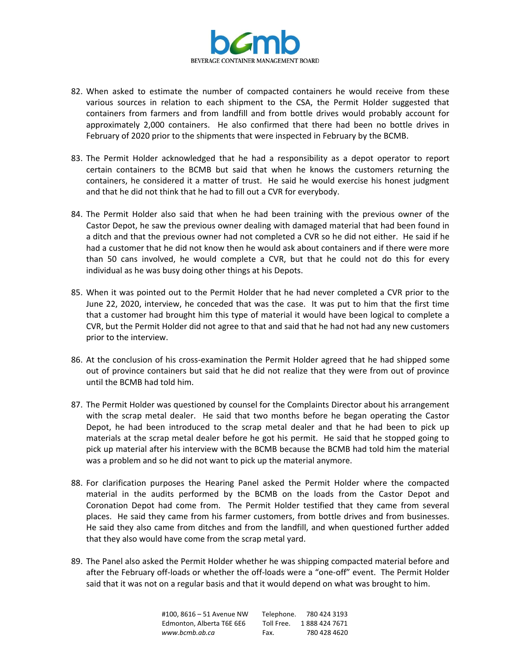

- 82. When asked to estimate the number of compacted containers he would receive from these various sources in relation to each shipment to the CSA, the Permit Holder suggested that containers from farmers and from landfill and from bottle drives would probably account for approximately 2,000 containers. He also confirmed that there had been no bottle drives in February of 2020 prior to the shipments that were inspected in February by the BCMB.
- 83. The Permit Holder acknowledged that he had a responsibility as a depot operator to report certain containers to the BCMB but said that when he knows the customers returning the containers, he considered it a matter of trust. He said he would exercise his honest judgment and that he did not think that he had to fill out a CVR for everybody.
- 84. The Permit Holder also said that when he had been training with the previous owner of the Castor Depot, he saw the previous owner dealing with damaged material that had been found in a ditch and that the previous owner had not completed a CVR so he did not either. He said if he had a customer that he did not know then he would ask about containers and if there were more than 50 cans involved, he would complete a CVR, but that he could not do this for every individual as he was busy doing other things at his Depots.
- 85. When it was pointed out to the Permit Holder that he had never completed a CVR prior to the June 22, 2020, interview, he conceded that was the case. It was put to him that the first time that a customer had brought him this type of material it would have been logical to complete a CVR, but the Permit Holder did not agree to that and said that he had not had any new customers prior to the interview.
- 86. At the conclusion of his cross-examination the Permit Holder agreed that he had shipped some out of province containers but said that he did not realize that they were from out of province until the BCMB had told him.
- 87. The Permit Holder was questioned by counsel for the Complaints Director about his arrangement with the scrap metal dealer. He said that two months before he began operating the Castor Depot, he had been introduced to the scrap metal dealer and that he had been to pick up materials at the scrap metal dealer before he got his permit. He said that he stopped going to pick up material after his interview with the BCMB because the BCMB had told him the material was a problem and so he did not want to pick up the material anymore.
- 88. For clarification purposes the Hearing Panel asked the Permit Holder where the compacted material in the audits performed by the BCMB on the loads from the Castor Depot and Coronation Depot had come from. The Permit Holder testified that they came from several places. He said they came from his farmer customers, from bottle drives and from businesses. He said they also came from ditches and from the landfill, and when questioned further added that they also would have come from the scrap metal yard.
- 89. The Panel also asked the Permit Holder whether he was shipping compacted material before and after the February off-loads or whether the off-loads were a "one-off" event. The Permit Holder said that it was not on a regular basis and that it would depend on what was brought to him.

| #100. 8616 – 51 Avenue NW | Telephone. | 780 424 3193  |
|---------------------------|------------|---------------|
| Edmonton, Alberta T6E 6E6 | Toll Free. | 1888 424 7671 |
| www.bcmb.ab.ca            | Fax.       | 780 428 4620  |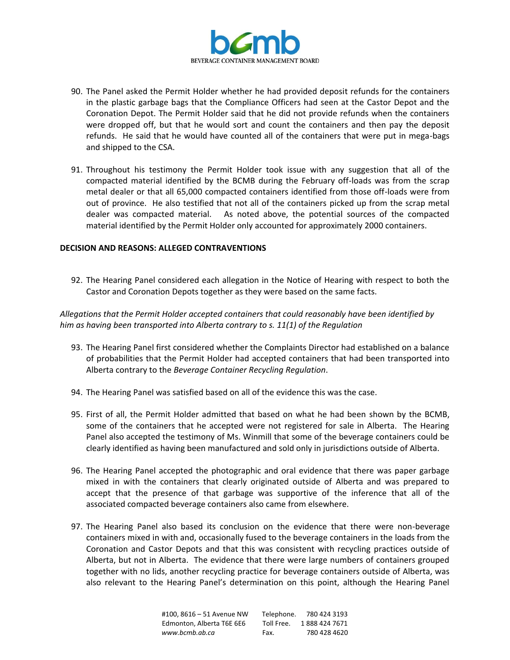

- 90. The Panel asked the Permit Holder whether he had provided deposit refunds for the containers in the plastic garbage bags that the Compliance Officers had seen at the Castor Depot and the Coronation Depot. The Permit Holder said that he did not provide refunds when the containers were dropped off, but that he would sort and count the containers and then pay the deposit refunds. He said that he would have counted all of the containers that were put in mega-bags and shipped to the CSA.
- 91. Throughout his testimony the Permit Holder took issue with any suggestion that all of the compacted material identified by the BCMB during the February off-loads was from the scrap metal dealer or that all 65,000 compacted containers identified from those off-loads were from out of province. He also testified that not all of the containers picked up from the scrap metal dealer was compacted material. As noted above, the potential sources of the compacted material identified by the Permit Holder only accounted for approximately 2000 containers.

## **DECISION AND REASONS: ALLEGED CONTRAVENTIONS**

92. The Hearing Panel considered each allegation in the Notice of Hearing with respect to both the Castor and Coronation Depots together as they were based on the same facts.

# *Allegations that the Permit Holder accepted containers that could reasonably have been identified by him as having been transported into Alberta contrary to s. 11(1) of the Regulation*

- 93. The Hearing Panel first considered whether the Complaints Director had established on a balance of probabilities that the Permit Holder had accepted containers that had been transported into Alberta contrary to the *Beverage Container Recycling Regulation*.
- 94. The Hearing Panel was satisfied based on all of the evidence this was the case.
- 95. First of all, the Permit Holder admitted that based on what he had been shown by the BCMB, some of the containers that he accepted were not registered for sale in Alberta. The Hearing Panel also accepted the testimony of Ms. Winmill that some of the beverage containers could be clearly identified as having been manufactured and sold only in jurisdictions outside of Alberta.
- 96. The Hearing Panel accepted the photographic and oral evidence that there was paper garbage mixed in with the containers that clearly originated outside of Alberta and was prepared to accept that the presence of that garbage was supportive of the inference that all of the associated compacted beverage containers also came from elsewhere.
- 97. The Hearing Panel also based its conclusion on the evidence that there were non-beverage containers mixed in with and, occasionally fused to the beverage containers in the loads from the Coronation and Castor Depots and that this was consistent with recycling practices outside of Alberta, but not in Alberta. The evidence that there were large numbers of containers grouped together with no lids, another recycling practice for beverage containers outside of Alberta, was also relevant to the Hearing Panel's determination on this point, although the Hearing Panel

| #100.8616 - 51 Avenue NW  | Telephone. | 780 424 3193  |
|---------------------------|------------|---------------|
| Edmonton. Alberta T6E 6E6 | Toll Free. | 1888 424 7671 |
| www.bcmb.ab.ca            | Fax.       | 780 428 4620  |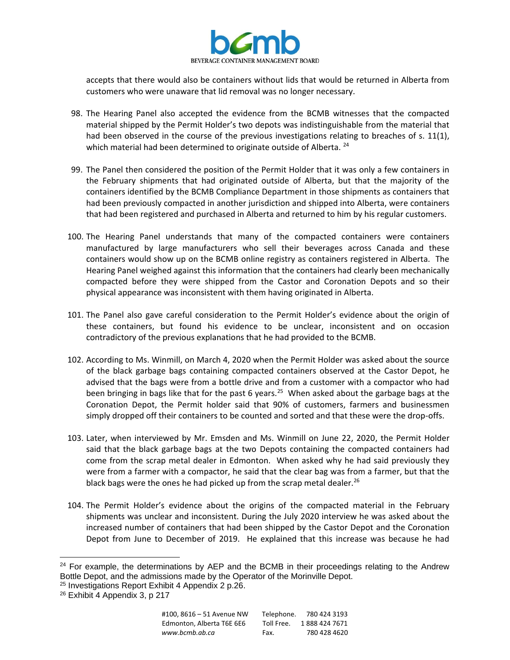

accepts that there would also be containers without lids that would be returned in Alberta from customers who were unaware that lid removal was no longer necessary.

- 98. The Hearing Panel also accepted the evidence from the BCMB witnesses that the compacted material shipped by the Permit Holder's two depots was indistinguishable from the material that had been observed in the course of the previous investigations relating to breaches of s. 11(1), which material had been determined to originate outside of Alberta. <sup>24</sup>
- 99. The Panel then considered the position of the Permit Holder that it was only a few containers in the February shipments that had originated outside of Alberta, but that the majority of the containers identified by the BCMB Compliance Department in those shipments as containers that had been previously compacted in another jurisdiction and shipped into Alberta, were containers that had been registered and purchased in Alberta and returned to him by his regular customers.
- 100. The Hearing Panel understands that many of the compacted containers were containers manufactured by large manufacturers who sell their beverages across Canada and these containers would show up on the BCMB online registry as containers registered in Alberta. The Hearing Panel weighed against this information that the containers had clearly been mechanically compacted before they were shipped from the Castor and Coronation Depots and so their physical appearance was inconsistent with them having originated in Alberta.
- 101. The Panel also gave careful consideration to the Permit Holder's evidence about the origin of these containers, but found his evidence to be unclear, inconsistent and on occasion contradictory of the previous explanations that he had provided to the BCMB.
- 102. According to Ms. Winmill, on March 4, 2020 when the Permit Holder was asked about the source of the black garbage bags containing compacted containers observed at the Castor Depot, he advised that the bags were from a bottle drive and from a customer with a compactor who had been bringing in bags like that for the past 6 years.<sup>25</sup> When asked about the garbage bags at the Coronation Depot, the Permit holder said that 90% of customers, farmers and businessmen simply dropped off their containers to be counted and sorted and that these were the drop-offs.
- 103. Later, when interviewed by Mr. Emsden and Ms. Winmill on June 22, 2020, the Permit Holder said that the black garbage bags at the two Depots containing the compacted containers had come from the scrap metal dealer in Edmonton. When asked why he had said previously they were from a farmer with a compactor, he said that the clear bag was from a farmer, but that the black bags were the ones he had picked up from the scrap metal dealer.<sup>26</sup>
- 104. The Permit Holder's evidence about the origins of the compacted material in the February shipments was unclear and inconsistent. During the July 2020 interview he was asked about the increased number of containers that had been shipped by the Castor Depot and the Coronation Depot from June to December of 2019. He explained that this increase was because he had

 $24$  For example, the determinations by AEP and the BCMB in their proceedings relating to the Andrew Bottle Depot, and the admissions made by the Operator of the Morinville Depot.

<sup>25</sup> Investigations Report Exhibit 4 Appendix 2 p.26.

<sup>&</sup>lt;sup>26</sup> Exhibit 4 Appendix 3, p 217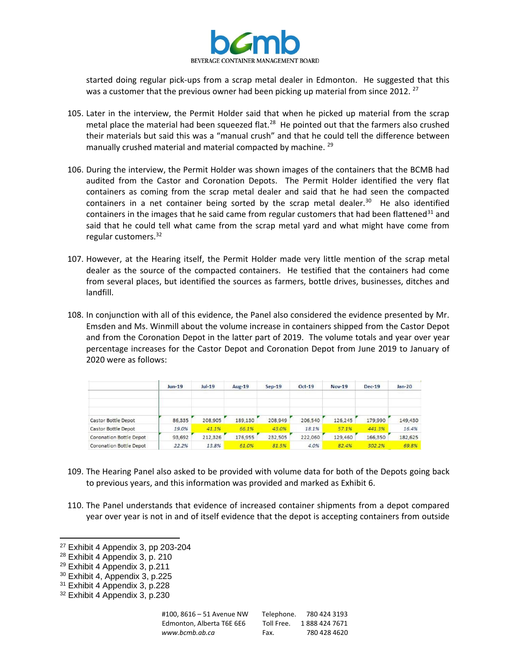

started doing regular pick-ups from a scrap metal dealer in Edmonton. He suggested that this was a customer that the previous owner had been picking up material from since 2012.<sup>27</sup>

- 105. Later in the interview, the Permit Holder said that when he picked up material from the scrap metal place the material had been squeezed flat.<sup>28</sup> He pointed out that the farmers also crushed their materials but said this was a "manual crush" and that he could tell the difference between manually crushed material and material compacted by machine.  $29$
- 106. During the interview, the Permit Holder was shown images of the containers that the BCMB had audited from the Castor and Coronation Depots. The Permit Holder identified the very flat containers as coming from the scrap metal dealer and said that he had seen the compacted containers in a net container being sorted by the scrap metal dealer. $30$  He also identified containers in the images that he said came from regular customers that had been flattened<sup>31</sup> and said that he could tell what came from the scrap metal yard and what might have come from regular customers.<sup>32</sup>
- 107. However, at the Hearing itself, the Permit Holder made very little mention of the scrap metal dealer as the source of the compacted containers. He testified that the containers had come from several places, but identified the sources as farmers, bottle drives, businesses, ditches and landfill.
- 108. In conjunction with all of this evidence, the Panel also considered the evidence presented by Mr. Emsden and Ms. Winmill about the volume increase in containers shipped from the Castor Depot and from the Coronation Depot in the latter part of 2019. The volume totals and year over year percentage increases for the Castor Depot and Coronation Depot from June 2019 to January of 2020 were as follows:

|                                | $Jun-19$ | $ u -19$<br>$\sim$ | Aug-19  | $Sep-19$ | $Oct-19$ | Nov-19  | $Dec-19$ | $Jan-20$ |
|--------------------------------|----------|--------------------|---------|----------|----------|---------|----------|----------|
| Castor Bottle Depot            | 86,335   | 208,905            | 189,130 | 208,949  | 206,540  | 126,245 | 179,990  | 149,430  |
| Castor Bottle Depot            | 19.0%    | 41.1%              | 66.1%   | 43.0%    | 18.1%    | 57.1%   | 441.3%   | 16.4%    |
| <b>Coronation Bottle Depot</b> | 93,692   | 212,326            | 176,955 | 232,505  | 222,060  | 129,460 | 166,350  | 182,625  |
| Coronation Bottle Depot        | 22.2%    | 13.8%              | 61.0%   | 81.5%    | 4.0%     | 82.4%   | 302.2%   | 69.8%    |

- 109. The Hearing Panel also asked to be provided with volume data for both of the Depots going back to previous years, and this information was provided and marked as Exhibit 6.
- 110. The Panel understands that evidence of increased container shipments from a depot compared year over year is not in and of itself evidence that the depot is accepting containers from outside

<sup>27</sup> Exhibit 4 Appendix 3, pp 203-204

<sup>28</sup> Exhibit 4 Appendix 3, p. 210

 $29$  Exhibit 4 Appendix 3, p.211

<sup>30</sup> Exhibit 4, Appendix 3, p.225

<sup>31</sup> Exhibit 4 Appendix 3, p.228

<sup>32</sup> Exhibit 4 Appendix 3, p.230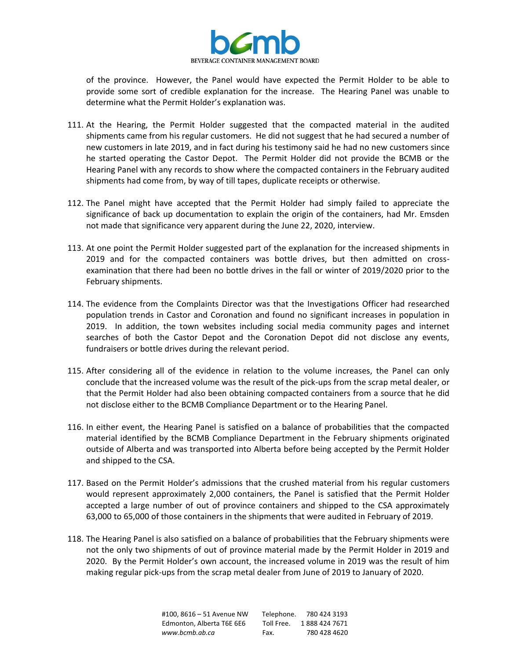

of the province. However, the Panel would have expected the Permit Holder to be able to provide some sort of credible explanation for the increase. The Hearing Panel was unable to determine what the Permit Holder's explanation was.

- 111. At the Hearing, the Permit Holder suggested that the compacted material in the audited shipments came from his regular customers. He did not suggest that he had secured a number of new customers in late 2019, and in fact during his testimony said he had no new customers since he started operating the Castor Depot. The Permit Holder did not provide the BCMB or the Hearing Panel with any records to show where the compacted containers in the February audited shipments had come from, by way of till tapes, duplicate receipts or otherwise.
- 112. The Panel might have accepted that the Permit Holder had simply failed to appreciate the significance of back up documentation to explain the origin of the containers, had Mr. Emsden not made that significance very apparent during the June 22, 2020, interview.
- 113. At one point the Permit Holder suggested part of the explanation for the increased shipments in 2019 and for the compacted containers was bottle drives, but then admitted on crossexamination that there had been no bottle drives in the fall or winter of 2019/2020 prior to the February shipments.
- 114. The evidence from the Complaints Director was that the Investigations Officer had researched population trends in Castor and Coronation and found no significant increases in population in 2019. In addition, the town websites including social media community pages and internet searches of both the Castor Depot and the Coronation Depot did not disclose any events, fundraisers or bottle drives during the relevant period.
- 115. After considering all of the evidence in relation to the volume increases, the Panel can only conclude that the increased volume was the result of the pick-ups from the scrap metal dealer, or that the Permit Holder had also been obtaining compacted containers from a source that he did not disclose either to the BCMB Compliance Department or to the Hearing Panel.
- 116. In either event, the Hearing Panel is satisfied on a balance of probabilities that the compacted material identified by the BCMB Compliance Department in the February shipments originated outside of Alberta and was transported into Alberta before being accepted by the Permit Holder and shipped to the CSA.
- 117. Based on the Permit Holder's admissions that the crushed material from his regular customers would represent approximately 2,000 containers, the Panel is satisfied that the Permit Holder accepted a large number of out of province containers and shipped to the CSA approximately 63,000 to 65,000 of those containers in the shipments that were audited in February of 2019.
- 118. The Hearing Panel is also satisfied on a balance of probabilities that the February shipments were not the only two shipments of out of province material made by the Permit Holder in 2019 and 2020. By the Permit Holder's own account, the increased volume in 2019 was the result of him making regular pick-ups from the scrap metal dealer from June of 2019 to January of 2020.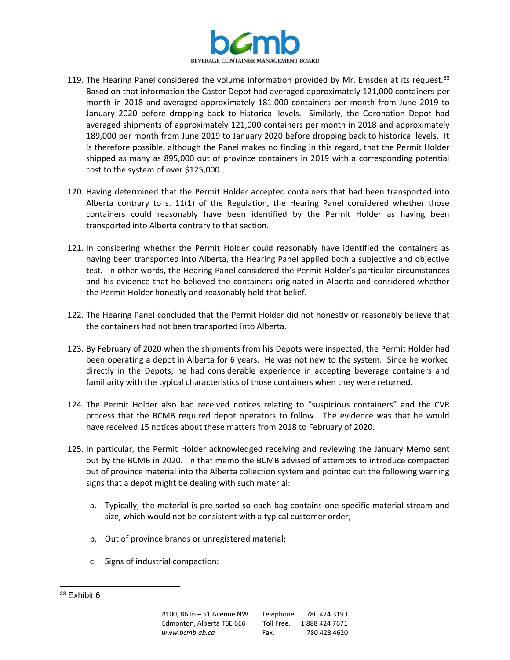

- 119. The Hearing Panel considered the volume information provided by Mr. Emsden at its request.<sup>33</sup> Based on that information the Castor Depot had averaged approximately 121,000 containers per month in 2018 and averaged approximately 181,000 containers per month from June 2019 to January 2020 before dropping back to historical levels. Similarly, the Coronation Depot had averaged shipments of approximately 121,000 containers per month in 2018 and approximately 189,000 per month from June 2019 to January 2020 before dropping back to historical levels. It is therefore possible, although the Panel makes no finding in this regard, that the Permit Holder shipped as many as 895,000 out of province containers in 2019 with a corresponding potential cost to the system of over \$125,000.
- 120. Having determined that the Permit Holder accepted containers that had been transported into Alberta contrary to s. 11(1) of the Regulation, the Hearing Panel considered whether those containers could reasonably have been identified by the Permit Holder as having been transported into Alberta contrary to that section.
- 121. In considering whether the Permit Holder could reasonably have identified the containers as having been transported into Alberta, the Hearing Panel applied both a subjective and objective test. In other words, the Hearing Panel considered the Permit Holder's particular circumstances and his evidence that he believed the containers originated in Alberta and considered whether the Permit Holder honestly and reasonably held that belief.
- 122. The Hearing Panel concluded that the Permit Holder did not honestly or reasonably believe that the containers had not been transported into Alberta.
- 123. By February of 2020 when the shipments from his Depots were inspected, the Permit Holder had been operating a depot in Alberta for 6 years. He was not new to the system. Since he worked directly in the Depots, he had considerable experience in accepting beverage containers and familiarity with the typical characteristics of those containers when they were returned.
- 124. The Permit Holder also had received notices relating to "suspicious containers" and the CVR process that the BCMB required depot operators to follow. The evidence was that he would have received 15 notices about these matters from 2018 to February of 2020.
- 125. In particular, the Permit Holder acknowledged receiving and reviewing the January Memo sent out by the BCMB in 2020. In that memo the BCMB advised of attempts to introduce compacted out of province material into the Alberta collection system and pointed out the following warning signs that a depot might be dealing with such material:
	- a. Typically, the material is pre-sorted so each bag contains one specific material stream and size, which would not be consistent with a typical customer order;
	- b. Out of province brands or unregistered material;
	- c. Signs of industrial compaction:

 $33$  Exhibit 6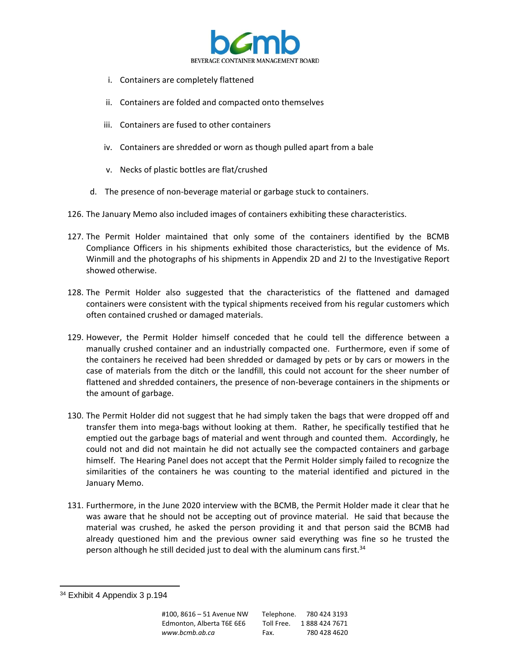

- i. Containers are completely flattened
- ii. Containers are folded and compacted onto themselves
- iii. Containers are fused to other containers
- iv. Containers are shredded or worn as though pulled apart from a bale
- v. Necks of plastic bottles are flat/crushed
- d. The presence of non-beverage material or garbage stuck to containers.
- 126. The January Memo also included images of containers exhibiting these characteristics.
- 127. The Permit Holder maintained that only some of the containers identified by the BCMB Compliance Officers in his shipments exhibited those characteristics, but the evidence of Ms. Winmill and the photographs of his shipments in Appendix 2D and 2J to the Investigative Report showed otherwise.
- 128. The Permit Holder also suggested that the characteristics of the flattened and damaged containers were consistent with the typical shipments received from his regular customers which often contained crushed or damaged materials.
- 129. However, the Permit Holder himself conceded that he could tell the difference between a manually crushed container and an industrially compacted one. Furthermore, even if some of the containers he received had been shredded or damaged by pets or by cars or mowers in the case of materials from the ditch or the landfill, this could not account for the sheer number of flattened and shredded containers, the presence of non-beverage containers in the shipments or the amount of garbage.
- 130. The Permit Holder did not suggest that he had simply taken the bags that were dropped off and transfer them into mega-bags without looking at them. Rather, he specifically testified that he emptied out the garbage bags of material and went through and counted them. Accordingly, he could not and did not maintain he did not actually see the compacted containers and garbage himself. The Hearing Panel does not accept that the Permit Holder simply failed to recognize the similarities of the containers he was counting to the material identified and pictured in the January Memo.
- 131. Furthermore, in the June 2020 interview with the BCMB, the Permit Holder made it clear that he was aware that he should not be accepting out of province material. He said that because the material was crushed, he asked the person providing it and that person said the BCMB had already questioned him and the previous owner said everything was fine so he trusted the person although he still decided just to deal with the aluminum cans first.<sup>34</sup>

<sup>&</sup>lt;sup>34</sup> Exhibit 4 Appendix 3 p.194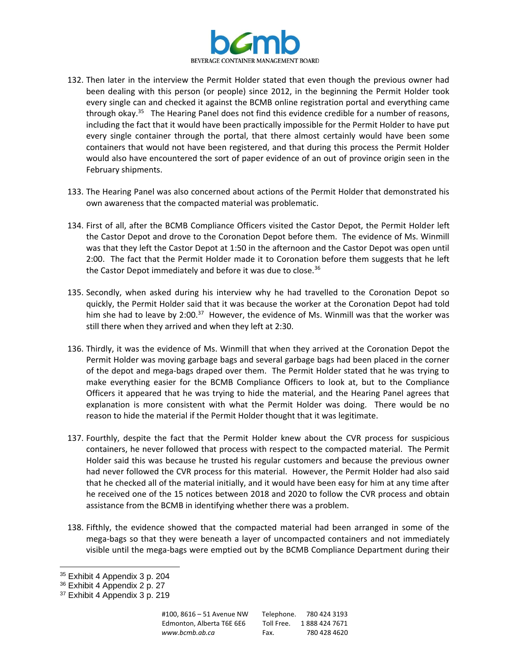

- 132. Then later in the interview the Permit Holder stated that even though the previous owner had been dealing with this person (or people) since 2012, in the beginning the Permit Holder took every single can and checked it against the BCMB online registration portal and everything came through okay.<sup>35</sup> The Hearing Panel does not find this evidence credible for a number of reasons, including the fact that it would have been practically impossible for the Permit Holder to have put every single container through the portal, that there almost certainly would have been some containers that would not have been registered, and that during this process the Permit Holder would also have encountered the sort of paper evidence of an out of province origin seen in the February shipments.
- 133. The Hearing Panel was also concerned about actions of the Permit Holder that demonstrated his own awareness that the compacted material was problematic.
- 134. First of all, after the BCMB Compliance Officers visited the Castor Depot, the Permit Holder left the Castor Depot and drove to the Coronation Depot before them. The evidence of Ms. Winmill was that they left the Castor Depot at 1:50 in the afternoon and the Castor Depot was open until 2:00. The fact that the Permit Holder made it to Coronation before them suggests that he left the Castor Depot immediately and before it was due to close.<sup>36</sup>
- 135. Secondly, when asked during his interview why he had travelled to the Coronation Depot so quickly, the Permit Holder said that it was because the worker at the Coronation Depot had told him she had to leave by 2:00.<sup>37</sup> However, the evidence of Ms. Winmill was that the worker was still there when they arrived and when they left at 2:30.
- 136. Thirdly, it was the evidence of Ms. Winmill that when they arrived at the Coronation Depot the Permit Holder was moving garbage bags and several garbage bags had been placed in the corner of the depot and mega-bags draped over them. The Permit Holder stated that he was trying to make everything easier for the BCMB Compliance Officers to look at, but to the Compliance Officers it appeared that he was trying to hide the material, and the Hearing Panel agrees that explanation is more consistent with what the Permit Holder was doing. There would be no reason to hide the material if the Permit Holder thought that it was legitimate.
- 137. Fourthly, despite the fact that the Permit Holder knew about the CVR process for suspicious containers, he never followed that process with respect to the compacted material. The Permit Holder said this was because he trusted his regular customers and because the previous owner had never followed the CVR process for this material. However, the Permit Holder had also said that he checked all of the material initially, and it would have been easy for him at any time after he received one of the 15 notices between 2018 and 2020 to follow the CVR process and obtain assistance from the BCMB in identifying whether there was a problem.
- 138. Fifthly, the evidence showed that the compacted material had been arranged in some of the mega-bags so that they were beneath a layer of uncompacted containers and not immediately visible until the mega-bags were emptied out by the BCMB Compliance Department during their

<sup>35</sup> Exhibit 4 Appendix 3 p. 204

<sup>36</sup> Exhibit 4 Appendix 2 p. 27

<sup>&</sup>lt;sup>37</sup> Exhibit 4 Appendix 3 p. 219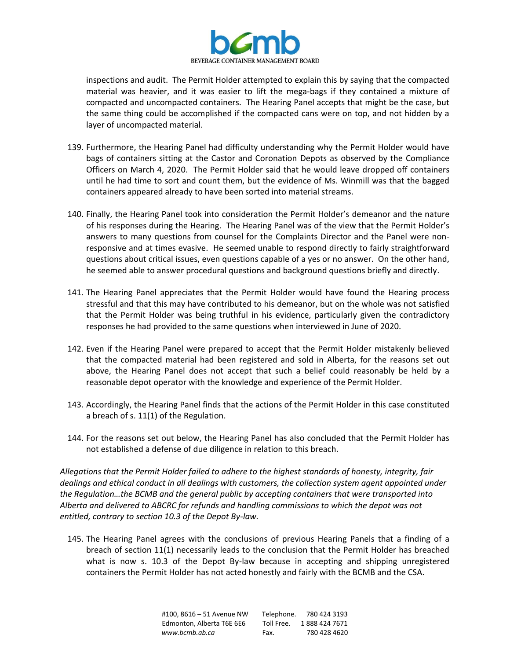

inspections and audit. The Permit Holder attempted to explain this by saying that the compacted material was heavier, and it was easier to lift the mega-bags if they contained a mixture of compacted and uncompacted containers. The Hearing Panel accepts that might be the case, but the same thing could be accomplished if the compacted cans were on top, and not hidden by a layer of uncompacted material.

- 139. Furthermore, the Hearing Panel had difficulty understanding why the Permit Holder would have bags of containers sitting at the Castor and Coronation Depots as observed by the Compliance Officers on March 4, 2020. The Permit Holder said that he would leave dropped off containers until he had time to sort and count them, but the evidence of Ms. Winmill was that the bagged containers appeared already to have been sorted into material streams.
- 140. Finally, the Hearing Panel took into consideration the Permit Holder's demeanor and the nature of his responses during the Hearing. The Hearing Panel was of the view that the Permit Holder's answers to many questions from counsel for the Complaints Director and the Panel were nonresponsive and at times evasive. He seemed unable to respond directly to fairly straightforward questions about critical issues, even questions capable of a yes or no answer. On the other hand, he seemed able to answer procedural questions and background questions briefly and directly.
- 141. The Hearing Panel appreciates that the Permit Holder would have found the Hearing process stressful and that this may have contributed to his demeanor, but on the whole was not satisfied that the Permit Holder was being truthful in his evidence, particularly given the contradictory responses he had provided to the same questions when interviewed in June of 2020.
- 142. Even if the Hearing Panel were prepared to accept that the Permit Holder mistakenly believed that the compacted material had been registered and sold in Alberta, for the reasons set out above, the Hearing Panel does not accept that such a belief could reasonably be held by a reasonable depot operator with the knowledge and experience of the Permit Holder.
- 143. Accordingly, the Hearing Panel finds that the actions of the Permit Holder in this case constituted a breach of s. 11(1) of the Regulation.
- 144. For the reasons set out below, the Hearing Panel has also concluded that the Permit Holder has not established a defense of due diligence in relation to this breach.

*Allegations that the Permit Holder failed to adhere to the highest standards of honesty, integrity, fair dealings and ethical conduct in all dealings with customers, the collection system agent appointed under the Regulation…the BCMB and the general public by accepting containers that were transported into Alberta and delivered to ABCRC for refunds and handling commissions to which the depot was not entitled, contrary to section 10.3 of the Depot By-law.*

145. The Hearing Panel agrees with the conclusions of previous Hearing Panels that a finding of a breach of section 11(1) necessarily leads to the conclusion that the Permit Holder has breached what is now s. 10.3 of the Depot By-law because in accepting and shipping unregistered containers the Permit Holder has not acted honestly and fairly with the BCMB and the CSA.

| #100. 8616 – 51 Avenue NW | Telephone. | 780 424 3193  |
|---------------------------|------------|---------------|
| Edmonton. Alberta T6E 6E6 | Toll Free. | 1888 424 7671 |
| www.bcmb.ab.ca            | Fax.       | 780 428 4620  |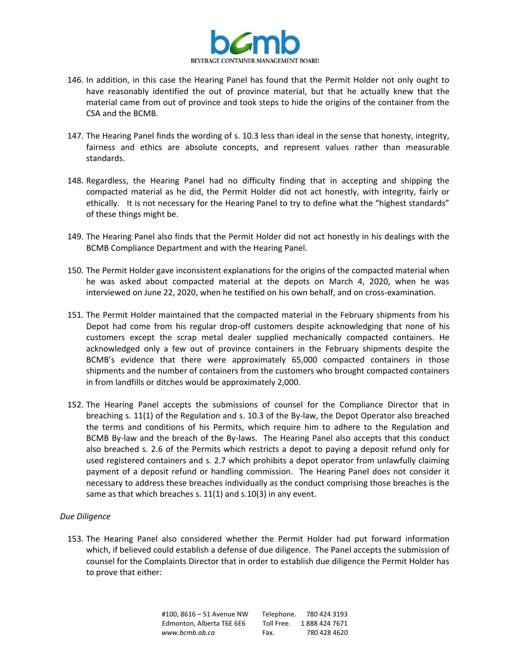

- 146. In addition, in this case the Hearing Panel has found that the Permit Holder not only ought to have reasonably identified the out of province material, but that he actually knew that the material came from out of province and took steps to hide the origins of the container from the CSA and the BCMB.
- 147. The Hearing Panel finds the wording of s. 10.3 less than ideal in the sense that honesty, integrity, fairness and ethics are absolute concepts, and represent values rather than measurable standards.
- 148. Regardless, the Hearing Panel had no difficulty finding that in accepting and shipping the compacted material as he did, the Permit Holder did not act honestly, with integrity, fairly or ethically. It is not necessary for the Hearing Panel to try to define what the "highest standards" of these things might be.
- 149. The Hearing Panel also finds that the Permit Holder did not act honestly in his dealings with the BCMB Compliance Department and with the Hearing Panel.
- 150. The Permit Holder gave inconsistent explanations for the origins of the compacted material when he was asked about compacted material at the depots on March 4, 2020, when he was interviewed on June 22, 2020, when he testified on his own behalf, and on cross-examination.
- 151. The Permit Holder maintained that the compacted material in the February shipments from his Depot had come from his regular drop-off customers despite acknowledging that none of his customers except the scrap metal dealer supplied mechanically compacted containers. He acknowledged only a few out of province containers in the February shipments despite the BCMB's evidence that there were approximately 65,000 compacted containers in those shipments and the number of containers from the customers who brought compacted containers in from landfills or ditches would be approximately 2,000.
- 152. The Hearing Panel accepts the submissions of counsel for the Compliance Director that in breaching s. 11(1) of the Regulation and s. 10.3 of the By-law, the Depot Operator also breached the terms and conditions of his Permits, which require him to adhere to the Regulation and BCMB By-law and the breach of the By-laws. The Hearing Panel also accepts that this conduct also breached s. 2.6 of the Permits which restricts a depot to paying a deposit refund only for used registered containers and s. 2.7 which prohibits a depot operator from unlawfully claiming payment of a deposit refund or handling commission. The Hearing Panel does not consider it necessary to address these breaches individually as the conduct comprising those breaches is the same as that which breaches s. 11(1) and s.10(3) in any event.

### *Due Diligence*

153. The Hearing Panel also considered whether the Permit Holder had put forward information which, if believed could establish a defense of due diligence. The Panel accepts the submission of counsel for the Complaints Director that in order to establish due diligence the Permit Holder has to prove that either:

> #100, 8616 – 51 Avenue NW Telephone. 780 424 3193 Edmonton, Alberta T6E 6E6 Toll Free. 1888 424 7671 *www.bcmb.ab.ca* Fax. 780 428 4620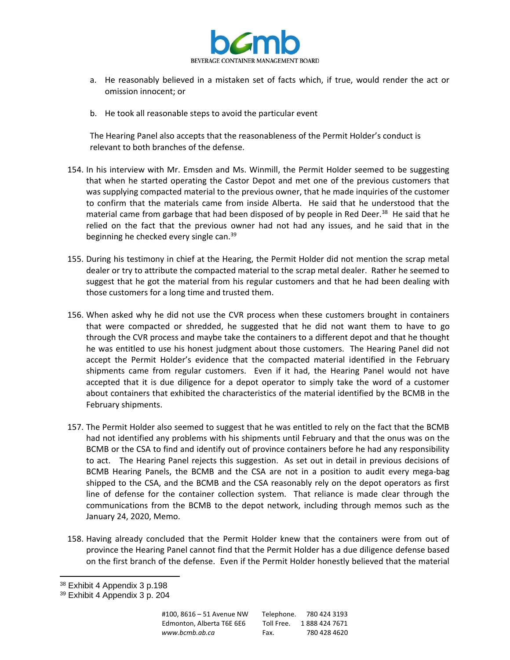

- a. He reasonably believed in a mistaken set of facts which, if true, would render the act or omission innocent; or
- b. He took all reasonable steps to avoid the particular event

The Hearing Panel also accepts that the reasonableness of the Permit Holder's conduct is relevant to both branches of the defense.

- 154. In his interview with Mr. Emsden and Ms. Winmill, the Permit Holder seemed to be suggesting that when he started operating the Castor Depot and met one of the previous customers that was supplying compacted material to the previous owner, that he made inquiries of the customer to confirm that the materials came from inside Alberta. He said that he understood that the material came from garbage that had been disposed of by people in Red Deer.<sup>38</sup> He said that he relied on the fact that the previous owner had not had any issues, and he said that in the beginning he checked every single can.<sup>39</sup>
- 155. During his testimony in chief at the Hearing, the Permit Holder did not mention the scrap metal dealer or try to attribute the compacted material to the scrap metal dealer. Rather he seemed to suggest that he got the material from his regular customers and that he had been dealing with those customers for a long time and trusted them.
- 156. When asked why he did not use the CVR process when these customers brought in containers that were compacted or shredded, he suggested that he did not want them to have to go through the CVR process and maybe take the containers to a different depot and that he thought he was entitled to use his honest judgment about those customers. The Hearing Panel did not accept the Permit Holder's evidence that the compacted material identified in the February shipments came from regular customers. Even if it had, the Hearing Panel would not have accepted that it is due diligence for a depot operator to simply take the word of a customer about containers that exhibited the characteristics of the material identified by the BCMB in the February shipments.
- 157. The Permit Holder also seemed to suggest that he was entitled to rely on the fact that the BCMB had not identified any problems with his shipments until February and that the onus was on the BCMB or the CSA to find and identify out of province containers before he had any responsibility to act. The Hearing Panel rejects this suggestion. As set out in detail in previous decisions of BCMB Hearing Panels, the BCMB and the CSA are not in a position to audit every mega-bag shipped to the CSA, and the BCMB and the CSA reasonably rely on the depot operators as first line of defense for the container collection system. That reliance is made clear through the communications from the BCMB to the depot network, including through memos such as the January 24, 2020, Memo.
- 158. Having already concluded that the Permit Holder knew that the containers were from out of province the Hearing Panel cannot find that the Permit Holder has a due diligence defense based on the first branch of the defense. Even if the Permit Holder honestly believed that the material

<sup>38</sup> Exhibit 4 Appendix 3 p.198

<sup>39</sup> Exhibit 4 Appendix 3 p. 204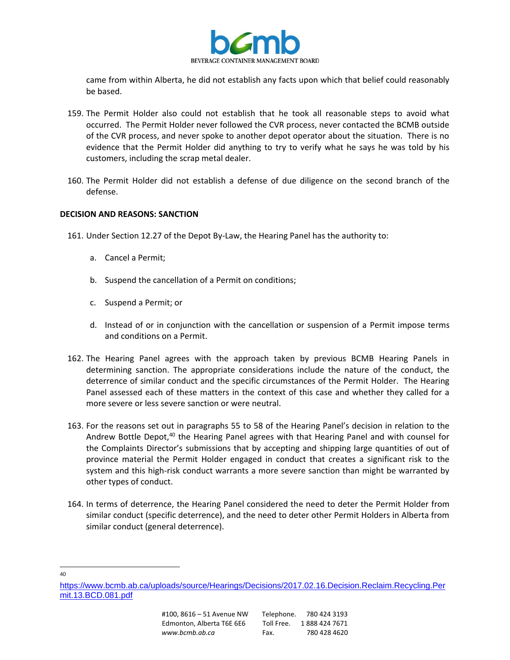

came from within Alberta, he did not establish any facts upon which that belief could reasonably be based.

- 159. The Permit Holder also could not establish that he took all reasonable steps to avoid what occurred. The Permit Holder never followed the CVR process, never contacted the BCMB outside of the CVR process, and never spoke to another depot operator about the situation. There is no evidence that the Permit Holder did anything to try to verify what he says he was told by his customers, including the scrap metal dealer.
- 160. The Permit Holder did not establish a defense of due diligence on the second branch of the defense.

### **DECISION AND REASONS: SANCTION**

- 161. Under Section 12.27 of the Depot By-Law, the Hearing Panel has the authority to:
	- a. Cancel a Permit;
	- b. Suspend the cancellation of a Permit on conditions;
	- c. Suspend a Permit; or
	- d. Instead of or in conjunction with the cancellation or suspension of a Permit impose terms and conditions on a Permit.
- 162. The Hearing Panel agrees with the approach taken by previous BCMB Hearing Panels in determining sanction. The appropriate considerations include the nature of the conduct, the deterrence of similar conduct and the specific circumstances of the Permit Holder. The Hearing Panel assessed each of these matters in the context of this case and whether they called for a more severe or less severe sanction or were neutral.
- 163. For the reasons set out in paragraphs 55 to 58 of the Hearing Panel's decision in relation to the Andrew Bottle Depot,<sup>40</sup> the Hearing Panel agrees with that Hearing Panel and with counsel for the Complaints Director's submissions that by accepting and shipping large quantities of out of province material the Permit Holder engaged in conduct that creates a significant risk to the system and this high-risk conduct warrants a more severe sanction than might be warranted by other types of conduct.
- 164. In terms of deterrence, the Hearing Panel considered the need to deter the Permit Holder from similar conduct (specific deterrence), and the need to deter other Permit Holders in Alberta from similar conduct (general deterrence).

40

[https://www.bcmb.ab.ca/uploads/source/Hearings/Decisions/2017.02.16.Decision.Reclaim.Recycling.Per](https://www.bcmb.ab.ca/uploads/source/Hearings/Decisions/2017.02.16.Decision.Reclaim.Recycling.Permit.13.BCD.081.pdf) [mit.13.BCD.081.pdf](https://www.bcmb.ab.ca/uploads/source/Hearings/Decisions/2017.02.16.Decision.Reclaim.Recycling.Permit.13.BCD.081.pdf)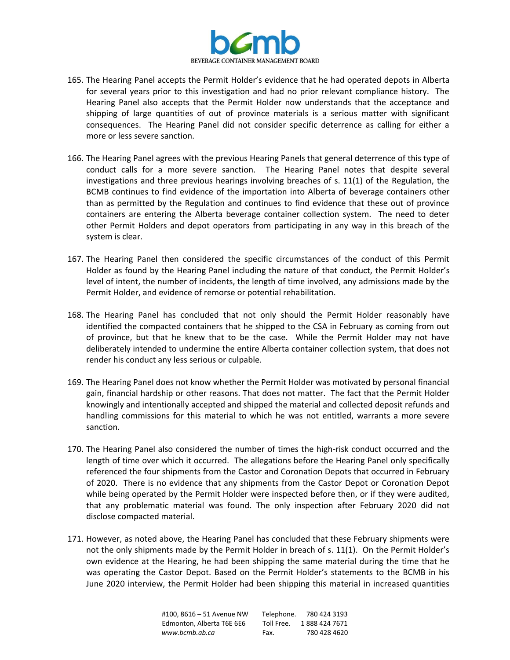

- 165. The Hearing Panel accepts the Permit Holder's evidence that he had operated depots in Alberta for several years prior to this investigation and had no prior relevant compliance history. The Hearing Panel also accepts that the Permit Holder now understands that the acceptance and shipping of large quantities of out of province materials is a serious matter with significant consequences. The Hearing Panel did not consider specific deterrence as calling for either a more or less severe sanction.
- 166. The Hearing Panel agrees with the previous Hearing Panels that general deterrence of this type of conduct calls for a more severe sanction. The Hearing Panel notes that despite several investigations and three previous hearings involving breaches of s. 11(1) of the Regulation, the BCMB continues to find evidence of the importation into Alberta of beverage containers other than as permitted by the Regulation and continues to find evidence that these out of province containers are entering the Alberta beverage container collection system. The need to deter other Permit Holders and depot operators from participating in any way in this breach of the system is clear.
- 167. The Hearing Panel then considered the specific circumstances of the conduct of this Permit Holder as found by the Hearing Panel including the nature of that conduct, the Permit Holder's level of intent, the number of incidents, the length of time involved, any admissions made by the Permit Holder, and evidence of remorse or potential rehabilitation.
- 168. The Hearing Panel has concluded that not only should the Permit Holder reasonably have identified the compacted containers that he shipped to the CSA in February as coming from out of province, but that he knew that to be the case. While the Permit Holder may not have deliberately intended to undermine the entire Alberta container collection system, that does not render his conduct any less serious or culpable.
- 169. The Hearing Panel does not know whether the Permit Holder was motivated by personal financial gain, financial hardship or other reasons. That does not matter. The fact that the Permit Holder knowingly and intentionally accepted and shipped the material and collected deposit refunds and handling commissions for this material to which he was not entitled, warrants a more severe sanction.
- 170. The Hearing Panel also considered the number of times the high-risk conduct occurred and the length of time over which it occurred. The allegations before the Hearing Panel only specifically referenced the four shipments from the Castor and Coronation Depots that occurred in February of 2020. There is no evidence that any shipments from the Castor Depot or Coronation Depot while being operated by the Permit Holder were inspected before then, or if they were audited, that any problematic material was found. The only inspection after February 2020 did not disclose compacted material.
- 171. However, as noted above, the Hearing Panel has concluded that these February shipments were not the only shipments made by the Permit Holder in breach of s. 11(1). On the Permit Holder's own evidence at the Hearing, he had been shipping the same material during the time that he was operating the Castor Depot. Based on the Permit Holder's statements to the BCMB in his June 2020 interview, the Permit Holder had been shipping this material in increased quantities

| #100.8616 - 51 Avenue NW  | Telephone. | 780 424 3193  |
|---------------------------|------------|---------------|
| Edmonton. Alberta T6E 6E6 | Toll Free. | 1888 424 7671 |
| www.bcmb.ab.ca            | Fax.       | 780 428 4620  |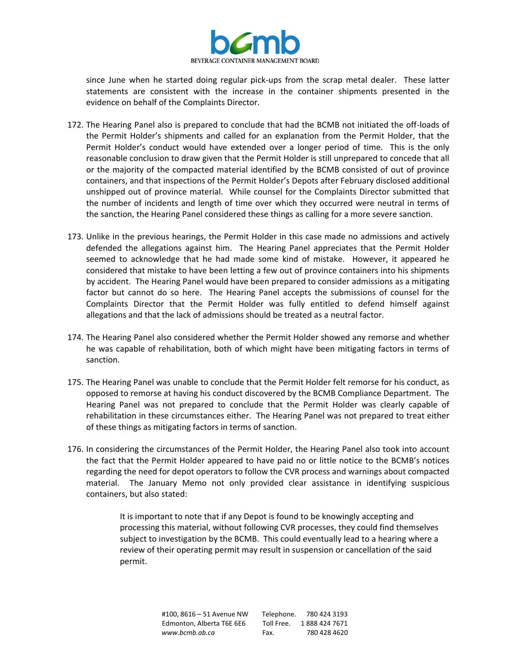

since June when he started doing regular pick-ups from the scrap metal dealer. These latter statements are consistent with the increase in the container shipments presented in the evidence on behalf of the Complaints Director.

- 172. The Hearing Panel also is prepared to conclude that had the BCMB not initiated the off-loads of the Permit Holder's shipments and called for an explanation from the Permit Holder, that the Permit Holder's conduct would have extended over a longer period of time. This is the only reasonable conclusion to draw given that the Permit Holder is still unprepared to concede that all or the majority of the compacted material identified by the BCMB consisted of out of province containers, and that inspections of the Permit Holder's Depots after February disclosed additional unshipped out of province material. While counsel for the Complaints Director submitted that the number of incidents and length of time over which they occurred were neutral in terms of the sanction, the Hearing Panel considered these things as calling for a more severe sanction.
- 173. Unlike in the previous hearings, the Permit Holder in this case made no admissions and actively defended the allegations against him. The Hearing Panel appreciates that the Permit Holder seemed to acknowledge that he had made some kind of mistake. However, it appeared he considered that mistake to have been letting a few out of province containers into his shipments by accident. The Hearing Panel would have been prepared to consider admissions as a mitigating factor but cannot do so here. The Hearing Panel accepts the submissions of counsel for the Complaints Director that the Permit Holder was fully entitled to defend himself against allegations and that the lack of admissions should be treated as a neutral factor.
- 174. The Hearing Panel also considered whether the Permit Holder showed any remorse and whether he was capable of rehabilitation, both of which might have been mitigating factors in terms of sanction.
- 175. The Hearing Panel was unable to conclude that the Permit Holder felt remorse for his conduct, as opposed to remorse at having his conduct discovered by the BCMB Compliance Department. The Hearing Panel was not prepared to conclude that the Permit Holder was clearly capable of rehabilitation in these circumstances either. The Hearing Panel was not prepared to treat either of these things as mitigating factors in terms of sanction.
- 176. In considering the circumstances of the Permit Holder, the Hearing Panel also took into account the fact that the Permit Holder appeared to have paid no or little notice to the BCMB's notices regarding the need for depot operators to follow the CVR process and warnings about compacted material. The January Memo not only provided clear assistance in identifying suspicious containers, but also stated:

It is important to note that if any Depot is found to be knowingly accepting and processing this material, without following CVR processes, they could find themselves subject to investigation by the BCMB. This could eventually lead to a hearing where a review of their operating permit may result in suspension or cancellation of the said permit.